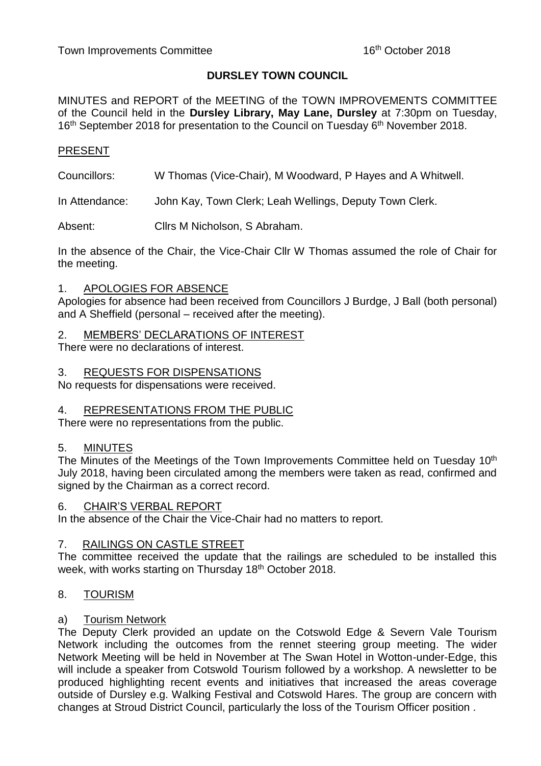# **DURSLEY TOWN COUNCIL**

MINUTES and REPORT of the MEETING of the TOWN IMPROVEMENTS COMMITTEE of the Council held in the **Dursley Library, May Lane, Dursley** at 7:30pm on Tuesday, 16<sup>th</sup> September 2018 for presentation to the Council on Tuesday 6<sup>th</sup> November 2018.

# PRESENT

Councillors: W Thomas (Vice-Chair), M Woodward, P Hayes and A Whitwell.

In Attendance: John Kay, Town Clerk; Leah Wellings, Deputy Town Clerk.

Absent: Cllrs M Nicholson, S Abraham.

In the absence of the Chair, the Vice-Chair Cllr W Thomas assumed the role of Chair for the meeting.

#### 1. APOLOGIES FOR ABSENCE

Apologies for absence had been received from Councillors J Burdge, J Ball (both personal) and A Sheffield (personal – received after the meeting).

#### 2. MEMBERS' DECLARATIONS OF INTEREST

There were no declarations of interest.

#### 3. REQUESTS FOR DISPENSATIONS

No requests for dispensations were received.

#### 4. REPRESENTATIONS FROM THE PUBLIC

There were no representations from the public.

#### 5. MINUTES

The Minutes of the Meetings of the Town Improvements Committee held on Tuesday 10<sup>th</sup> July 2018, having been circulated among the members were taken as read, confirmed and signed by the Chairman as a correct record.

#### 6. CHAIR'S VERBAL REPORT

In the absence of the Chair the Vice-Chair had no matters to report.

#### 7. RAILINGS ON CASTLE STREET

The committee received the update that the railings are scheduled to be installed this week, with works starting on Thursday 18<sup>th</sup> October 2018.

#### 8. TOURISM

#### a) Tourism Network

The Deputy Clerk provided an update on the Cotswold Edge & Severn Vale Tourism Network including the outcomes from the rennet steering group meeting. The wider Network Meeting will be held in November at The Swan Hotel in Wotton-under-Edge, this will include a speaker from Cotswold Tourism followed by a workshop. A newsletter to be produced highlighting recent events and initiatives that increased the areas coverage outside of Dursley e.g. Walking Festival and Cotswold Hares. The group are concern with changes at Stroud District Council, particularly the loss of the Tourism Officer position .